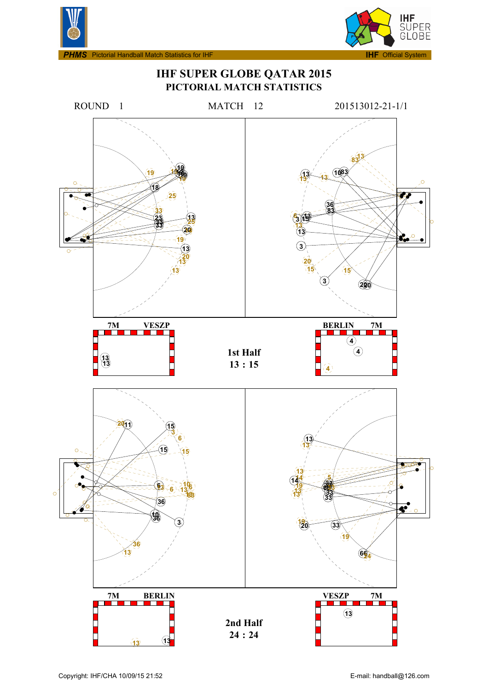



# **IHF SUPER GLOBE QATAR 2015 PICTORIAL MATCH STATISTICS**

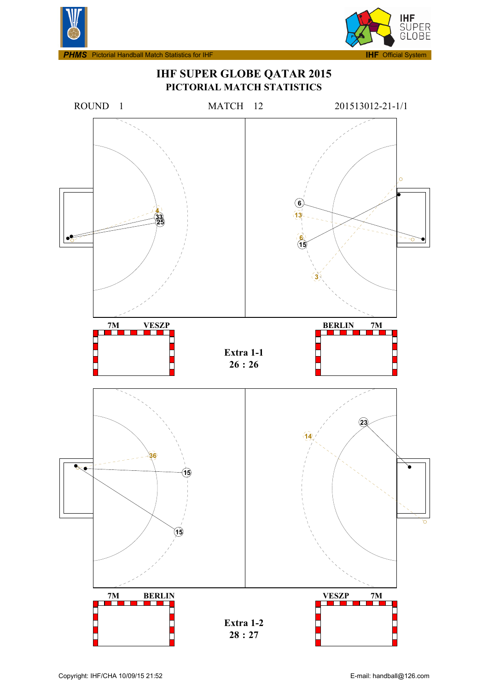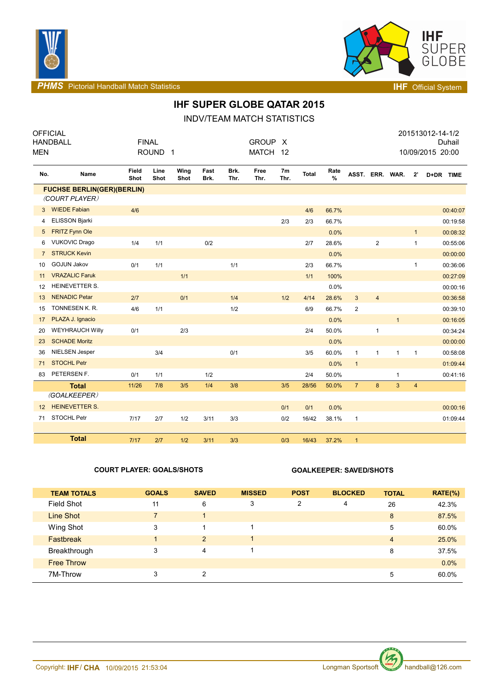



**PHMS** Pictorial Handball Match Statistics **INF** Official System

# **IHF SUPER GLOBE QATAR 2015**

INDV/TEAM MATCH STATISTICS

| MEN               | <b>OFFICIAL</b><br><b>HANDBALL</b> | <b>FINAL</b>  | ROUND <sub>1</sub> |              |              |              | <b>GROUP</b><br><b>MATCH</b> | X<br>12                |              |           |                 |                |              |                         | 201513012-14-1/2<br>10/09/2015 20:00 | Duhail   |
|-------------------|------------------------------------|---------------|--------------------|--------------|--------------|--------------|------------------------------|------------------------|--------------|-----------|-----------------|----------------|--------------|-------------------------|--------------------------------------|----------|
| No.               | Name                               | Field<br>Shot | Line<br>Shot       | Wing<br>Shot | Fast<br>Brk. | Brk.<br>Thr. | Free<br>Thr.                 | 7 <sub>m</sub><br>Thr. | <b>Total</b> | Rate<br>% | ASST. ERR. WAR. |                |              | $2^{\circ}$             | D+DR TIME                            |          |
|                   | <b>FUCHSE BERLIN(GER)(BERLIN)</b>  |               |                    |              |              |              |                              |                        |              |           |                 |                |              |                         |                                      |          |
|                   | (COURT PLAYER)                     |               |                    |              |              |              |                              |                        |              |           |                 |                |              |                         |                                      |          |
| 3                 | <b>WIEDE Fabian</b>                | 4/6           |                    |              |              |              |                              |                        | 4/6          | 66.7%     |                 |                |              |                         |                                      | 00:40:07 |
| 4                 | <b>ELISSON Bjarki</b>              |               |                    |              |              |              |                              | 2/3                    | 2/3          | 66.7%     |                 |                |              |                         |                                      | 00:19:58 |
| 5                 | <b>FRITZ Fynn Ole</b>              |               |                    |              |              |              |                              |                        |              | 0.0%      |                 |                |              | 1                       |                                      | 00:08:32 |
| 6                 | <b>VUKOVIC Drago</b>               | 1/4           | 1/1                |              | 0/2          |              |                              |                        | 2/7          | 28.6%     |                 | $\overline{c}$ |              | $\mathbf{1}$            |                                      | 00:55:06 |
| $\overline{7}$    | <b>STRUCK Kevin</b>                |               |                    |              |              |              |                              |                        |              | 0.0%      |                 |                |              |                         |                                      | 00:00:00 |
| 10                | <b>GOJUN Jakov</b>                 | 0/1           | 1/1                |              |              | 1/1          |                              |                        | 2/3          | 66.7%     |                 |                |              | $\mathbf{1}$            |                                      | 00:36:06 |
| 11                | <b>VRAZALIC Faruk</b>              |               |                    | 1/1          |              |              |                              |                        | 1/1          | 100%      |                 |                |              |                         |                                      | 00:27:09 |
| 12                | HEINEVETTER S.                     |               |                    |              |              |              |                              |                        |              | 0.0%      |                 |                |              |                         |                                      | 00:00:16 |
| 13                | <b>NENADIC Petar</b>               | 2/7           |                    | 0/1          |              | 1/4          |                              | 1/2                    | 4/14         | 28.6%     | $\mathbf{3}$    | $\overline{4}$ |              |                         |                                      | 00:36:58 |
| 15                | TONNESEN K. R.                     | 4/6           | 1/1                |              |              | 1/2          |                              |                        | 6/9          | 66.7%     | $\overline{2}$  |                |              |                         |                                      | 00:39:10 |
| 17                | PLAZA J. Ignacio                   |               |                    |              |              |              |                              |                        |              | 0.0%      |                 |                | $\mathbf{1}$ |                         |                                      | 00:16:05 |
| 20                | <b>WEYHRAUCH Willy</b>             | 0/1           |                    | 2/3          |              |              |                              |                        | 2/4          | 50.0%     |                 | 1              |              |                         |                                      | 00:34:24 |
| 23                | <b>SCHADE Moritz</b>               |               |                    |              |              |              |                              |                        |              | 0.0%      |                 |                |              |                         |                                      | 00:00:00 |
| 36                | NIELSEN Jesper                     |               | 3/4                |              |              | 0/1          |                              |                        | 3/5          | 60.0%     | $\mathbf{1}$    | $\mathbf{1}$   | 1            | $\mathbf{1}$            |                                      | 00:58:08 |
| 71                | <b>STOCHL Petr</b>                 |               |                    |              |              |              |                              |                        |              | 0.0%      | $\mathbf{1}$    |                |              |                         |                                      | 01:09:44 |
| 83                | PETERSEN F.                        | 0/1           | 1/1                |              | 1/2          |              |                              |                        | 2/4          | 50.0%     |                 |                | $\mathbf{1}$ |                         |                                      | 00:41:16 |
|                   | <b>Total</b>                       | 11/26         | 7/8                | 3/5          | 1/4          | 3/8          |                              | 3/5                    | 28/56        | 50.0%     | $\overline{7}$  | 8              | 3            | $\overline{\mathbf{4}}$ |                                      |          |
|                   | (GOALKEEPER)                       |               |                    |              |              |              |                              |                        |              |           |                 |                |              |                         |                                      |          |
| $12 \overline{ }$ | <b>HEINEVETTER S.</b>              |               |                    |              |              |              |                              | 0/1                    | 0/1          | 0.0%      |                 |                |              |                         |                                      | 00:00:16 |
| 71                | STOCHL Petr                        | 7/17          | 2/7                | 1/2          | 3/11         | 3/3          |                              | 0/2                    | 16/42        | 38.1%     | $\mathbf{1}$    |                |              |                         |                                      | 01:09:44 |
|                   |                                    |               |                    |              |              |              |                              |                        |              |           |                 |                |              |                         |                                      |          |
|                   | <b>Total</b>                       | 7/17          | 2/7                | 1/2          | 3/11         | 3/3          |                              | 0/3                    | 16/43        | 37.2%     | $\overline{1}$  |                |              |                         |                                      |          |

### **COURT PLAYER: GOALS/SHOTS GOALKEEPER: SAVED/SHOTS**

| <b>TEAM TOTALS</b> | <b>GOALS</b>   | <b>SAVED</b> | <b>MISSED</b> | <b>POST</b> | <b>BLOCKED</b> | <b>TOTAL</b>   | $RATE(\%)$ |
|--------------------|----------------|--------------|---------------|-------------|----------------|----------------|------------|
| <b>Field Shot</b>  | 11             | 6            | 3             | 2           | 4              | 26             | 42.3%      |
| Line Shot          | $\overline{7}$ |              |               |             |                | 8              | 87.5%      |
| Wing Shot          | 3              |              |               |             |                | 5              | 60.0%      |
| <b>Fastbreak</b>   |                | 2            |               |             |                | $\overline{4}$ | 25.0%      |
| Breakthrough       | 3              | 4            |               |             |                | 8              | 37.5%      |
| <b>Free Throw</b>  |                |              |               |             |                |                | 0.0%       |
| 7M-Throw           | 3              | 2            |               |             |                | 5              | 60.0%      |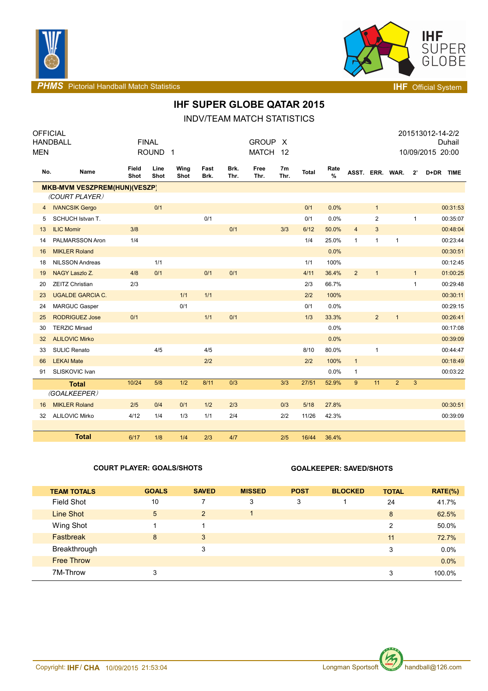



**PHMS** Pictorial Handball Match Statistics **Intervalse and Contract Contract Contract Contract Contract Contract Contract Contract Contract Contract Contract Contract Contract Contract Contract Contract Contract Contract C** 

## **IHF SUPER GLOBE QATAR 2015**

INDV/TEAM MATCH STATISTICS

| <b>OFFICIAL</b> |                                     |               |                    |              |              |              |              |            |              |              |                 |                |                |              | 201513012-14-2/2 |
|-----------------|-------------------------------------|---------------|--------------------|--------------|--------------|--------------|--------------|------------|--------------|--------------|-----------------|----------------|----------------|--------------|------------------|
|                 | HANDBALL                            |               | <b>FINAL</b>       |              |              |              | <b>GROUP</b> | $\times$   |              |              |                 |                |                |              | Duhail           |
| <b>MEN</b>      |                                     |               | ROUND <sub>1</sub> |              |              |              | <b>MATCH</b> | 12         |              |              |                 |                |                |              | 10/09/2015 20:00 |
| No.             | Name                                | Field<br>Shot | Line<br>Shot       | Wing<br>Shot | Fast<br>Brk. | Brk.<br>Thr. | Free<br>Thr. | 7m<br>Thr. | <b>Total</b> | Rate<br>$\%$ | ASST. ERR. WAR. |                |                | $2^{\prime}$ | D+DR TIME        |
|                 | <b>MKB-MVM VESZPREM(HUN)(VESZP)</b> |               |                    |              |              |              |              |            |              |              |                 |                |                |              |                  |
|                 | (COURT PLAYER)                      |               |                    |              |              |              |              |            |              |              |                 |                |                |              |                  |
| $\overline{4}$  | <b>IVANCSIK Gergo</b>               |               | 0/1                |              |              |              |              |            | 0/1          | 0.0%         |                 | $\mathbf{1}$   |                |              | 00:31:53         |
| 5               | SCHUCH Istvan T.                    |               |                    |              | 0/1          |              |              |            | 0/1          | 0.0%         |                 | $\overline{2}$ |                | $\mathbf{1}$ | 00:35:07         |
| 13              | <b>ILIC Momir</b>                   | 3/8           |                    |              |              | 0/1          |              | 3/3        | 6/12         | 50.0%        | $\overline{4}$  | $\sqrt{3}$     |                |              | 00:48:04         |
| 14              | PALMARSSON Aron                     | 1/4           |                    |              |              |              |              |            | 1/4          | 25.0%        | $\mathbf{1}$    | $\mathbf{1}$   | $\mathbf{1}$   |              | 00:23:44         |
| 16              | <b>MIKLER Roland</b>                |               |                    |              |              |              |              |            |              | 0.0%         |                 |                |                |              | 00:30:51         |
| 18              | NILSSON Andreas                     |               | 1/1                |              |              |              |              |            | 1/1          | 100%         |                 |                |                |              | 00:12:45         |
| 19              | NAGY Laszlo Z.                      | 4/8           | 0/1                |              | 0/1          | 0/1          |              |            | 4/11         | 36.4%        | $\overline{2}$  | $\mathbf{1}$   |                | $\mathbf{1}$ | 01:00:25         |
| 20              | <b>ZEITZ Christian</b>              | 2/3           |                    |              |              |              |              |            | 2/3          | 66.7%        |                 |                |                | $\mathbf{1}$ | 00:29:48         |
| 23              | <b>UGALDE GARCIA C.</b>             |               |                    | 1/1          | 1/1          |              |              |            | 2/2          | 100%         |                 |                |                |              | 00:30:11         |
| 24              | <b>MARGUC Gasper</b>                |               |                    | 0/1          |              |              |              |            | 0/1          | 0.0%         |                 |                |                |              | 00:29:15         |
| 25              | <b>RODRIGUEZ Jose</b>               | 0/1           |                    |              | 1/1          | 0/1          |              |            | 1/3          | 33.3%        |                 | 2              | $\mathbf{1}$   |              | 00:26:41         |
| 30              | <b>TERZIC Mirsad</b>                |               |                    |              |              |              |              |            |              | 0.0%         |                 |                |                |              | 00:17:08         |
| 32              | <b>ALILOVIC Mirko</b>               |               |                    |              |              |              |              |            |              | 0.0%         |                 |                |                |              | 00:39:09         |
| 33              | <b>SULIC Renato</b>                 |               | 4/5                |              | 4/5          |              |              |            | 8/10         | 80.0%        |                 | $\mathbf{1}$   |                |              | 00:44:47         |
| 66              | <b>LEKAI Mate</b>                   |               |                    |              | 2/2          |              |              |            | 2/2          | 100%         | $\mathbf{1}$    |                |                |              | 00:18:49         |
| 91              | SLISKOVIC Ivan                      |               |                    |              |              |              |              |            |              | 0.0%         | 1               |                |                |              | 00:03:22         |
|                 | <b>Total</b>                        | 10/24         | 5/8                | 1/2          | 8/11         | 0/3          |              | 3/3        | 27/51        | 52.9%        | 9               | 11             | $\overline{2}$ | 3            |                  |
|                 | (GOALKEEPER)                        |               |                    |              |              |              |              |            |              |              |                 |                |                |              |                  |
| 16              | <b>MIKLER Roland</b>                | 2/5           | 0/4                | 0/1          | 1/2          | 2/3          |              | 0/3        | 5/18         | 27.8%        |                 |                |                |              | 00:30:51         |
| 32              | <b>ALILOVIC Mirko</b>               | 4/12          | 1/4                | 1/3          | 1/1          | 2/4          |              | 2/2        | 11/26        | 42.3%        |                 |                |                |              | 00:39:09         |
|                 |                                     |               |                    |              |              |              |              |            |              |              |                 |                |                |              |                  |
|                 | <b>Total</b>                        | 6/17          | 1/8                | 1/4          | 2/3          | 4/7          |              | 2/5        | 16/44        | 36.4%        |                 |                |                |              |                  |

### **COURT PLAYER: GOALS/SHOTS GOALKEEPER: SAVED/SHOTS**

| <b>TEAM TOTALS</b> | <b>GOALS</b> | <b>SAVED</b> | <b>MISSED</b> | <b>POST</b> | <b>BLOCKED</b> | <b>TOTAL</b> | $RATE(\%)$ |
|--------------------|--------------|--------------|---------------|-------------|----------------|--------------|------------|
| Field Shot         | 10           | 7            | 3             | 3           |                | 24           | 41.7%      |
| <b>Line Shot</b>   | 5            | 2            |               |             |                | 8            | 62.5%      |
| Wing Shot          |              |              |               |             |                | 2            | 50.0%      |
| Fastbreak          | 8            | 3            |               |             |                | 11           | 72.7%      |
| Breakthrough       |              | 3            |               |             |                | 3            | 0.0%       |
| <b>Free Throw</b>  |              |              |               |             |                |              | $0.0\%$    |
| 7M-Throw           | 3            |              |               |             |                | 3            | 100.0%     |